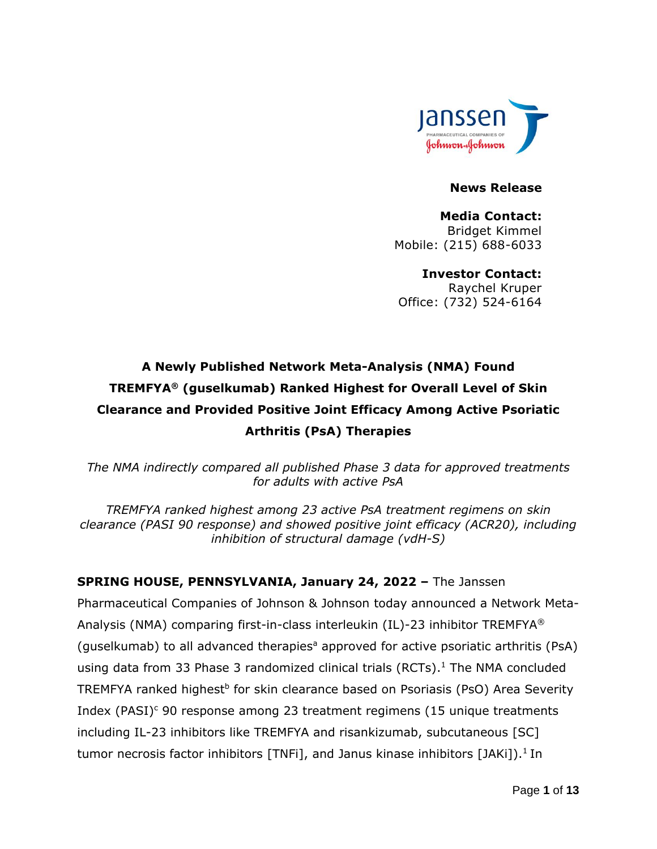

#### **News Release**

**Media Contact:** Bridget Kimmel Mobile: (215) 688-6033

**Investor Contact:** Raychel Kruper Office: (732) 524-6164

# **A Newly Published Network Meta-Analysis (NMA) Found TREMFYA® (guselkumab) Ranked Highest for Overall Level of Skin Clearance and Provided Positive Joint Efficacy Among Active Psoriatic Arthritis (PsA) Therapies**

*The NMA indirectly compared all published Phase 3 data for approved treatments for adults with active PsA* 

*TREMFYA ranked highest among 23 active PsA treatment regimens on skin clearance (PASI 90 response) and showed positive joint efficacy (ACR20), including inhibition of structural damage (vdH-S)*

### **SPRING HOUSE, PENNSYLVANIA, January 24, 2022 –** The Janssen

Pharmaceutical Companies of Johnson & Johnson today announced a Network Meta-Analysis (NMA) comparing first-in-class interleukin (IL)-23 inhibitor TREMFYA® (guselkumab) to all advanced therapies<sup>a</sup> approved for active psoriatic arthritis (PsA) using data from 33 Phase 3 randomized clinical trials (RCTs). <sup>1</sup> The NMA concluded TREMFYA ranked highest<sup>b</sup> for skin clearance based on Psoriasis (PsO) Area Severity Index (PASI)<sup>c</sup> 90 response among 23 treatment regimens (15 unique treatments including IL-23 inhibitors like TREMFYA and risankizumab, subcutaneous [SC] tumor necrosis factor inhibitors [TNFi], and Janus kinase inhibitors [JAKi]).<sup>1</sup> In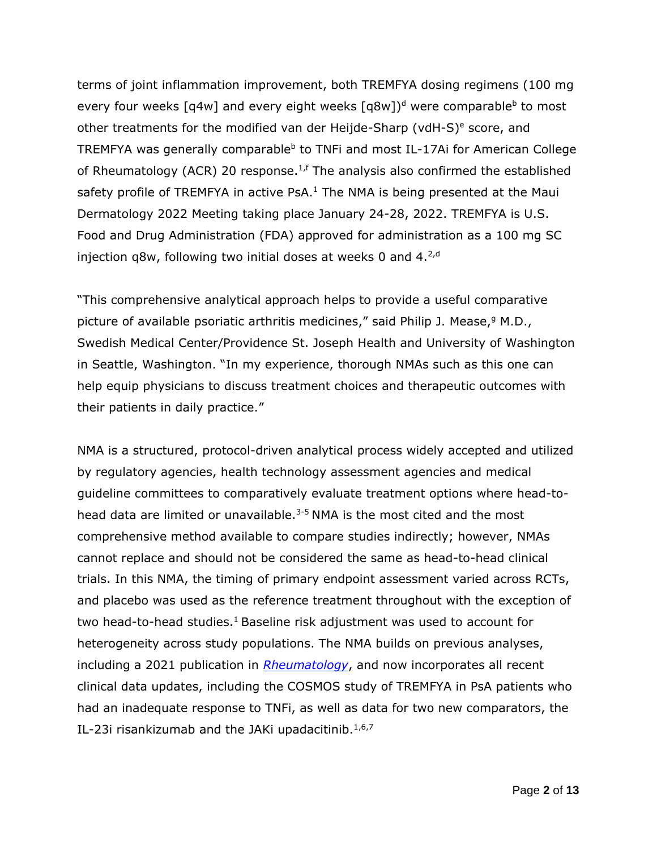terms of joint inflammation improvement, both TREMFYA dosing regimens (100 mg every four weeks [q4w] and every eight weeks [q8w])<sup>d</sup> were comparable<sup>b</sup> to most other treatments for the modified van der Heijde-Sharp (vdH-S) $e$  score, and TREMFYA was generally comparable<sup>b</sup> to TNFi and most IL-17Ai for American College of Rheumatology (ACR) 20 response.<sup>1,f</sup> The analysis also confirmed the established safety profile of TREMFYA in active PsA. $<sup>1</sup>$  The NMA is being presented at the Maui</sup> Dermatology 2022 Meeting taking place January 24-28, 2022. TREMFYA is U.S. Food and Drug Administration (FDA) approved for administration as a 100 mg SC injection q8w, following two initial doses at weeks 0 and  $4.^{2,d}$ 

"This comprehensive analytical approach helps to provide a useful comparative picture of available psoriatic arthritis medicines," said Philip J. Mease, $9$  M.D., Swedish Medical Center/Providence St. Joseph Health and University of Washington in Seattle, Washington. "In my experience, thorough NMAs such as this one can help equip physicians to discuss treatment choices and therapeutic outcomes with their patients in daily practice."

NMA is a structured, protocol-driven analytical process widely accepted and utilized by regulatory agencies, health technology assessment agencies and medical guideline committees to comparatively evaluate treatment options where head-tohead data are limited or unavailable.<sup>3-5</sup> NMA is the most cited and the most comprehensive method available to compare studies indirectly; however, NMAs cannot replace and should not be considered the same as head-to-head clinical trials. In this NMA, the timing of primary endpoint assessment varied across RCTs, and placebo was used as the reference treatment throughout with the exception of two head-to-head studies.<sup>1</sup> Baseline risk adjustment was used to account for heterogeneity across study populations. The NMA builds on previous analyses, including a 2021 publication in *[Rheumatology](https://pubmed.ncbi.nlm.nih.gov/33844022/)*, and now incorporates all recent clinical data updates, including the COSMOS study of TREMFYA in PsA patients who had an inadequate response to TNFi, as well as data for two new comparators, the IL-23i risankizumab and the JAKi upadacitinib. $1,6,7$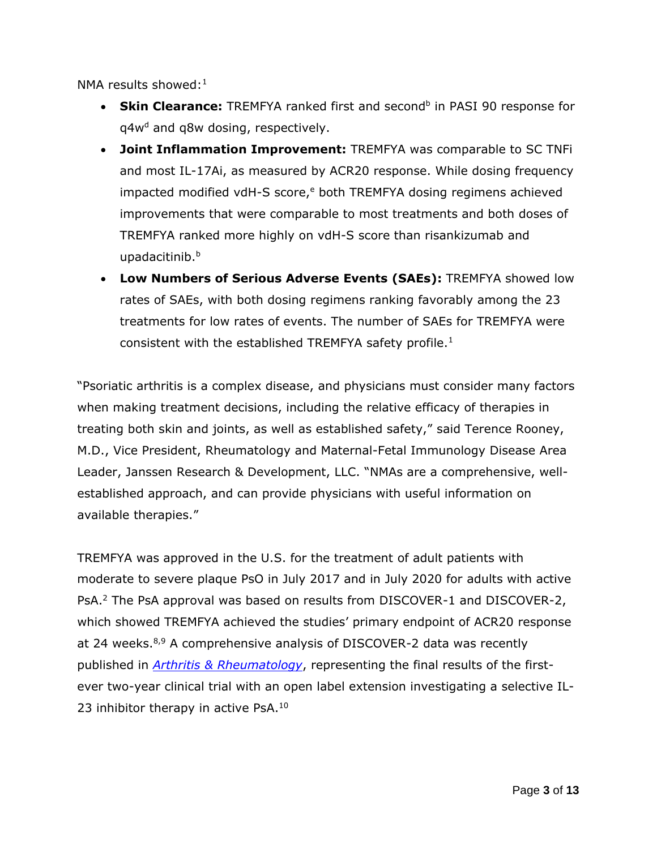NMA results showed: $1$ 

- Skin Clearance: TREMFYA ranked first and second<sup>b</sup> in PASI 90 response for  $q4w<sup>d</sup>$  and  $q8w$  dosing, respectively.
- **Joint Inflammation Improvement:** TREMFYA was comparable to SC TNFi and most IL-17Ai, as measured by ACR20 response. While dosing frequency impacted modified vdH-S score, $e$  both TREMFYA dosing regimens achieved improvements that were comparable to most treatments and both doses of TREMFYA ranked more highly on vdH-S score than risankizumab and upadacitinib.<sup>b</sup>
- **Low Numbers of Serious Adverse Events (SAEs):** TREMFYA showed low rates of SAEs, with both dosing regimens ranking favorably among the 23 treatments for low rates of events. The number of SAEs for TREMFYA were consistent with the established TREMFYA safety profile. $<sup>1</sup>$ </sup>

"Psoriatic arthritis is a complex disease, and physicians must consider many factors when making treatment decisions, including the relative efficacy of therapies in treating both skin and joints, as well as established safety," said Terence Rooney, M.D., Vice President, Rheumatology and Maternal-Fetal Immunology Disease Area Leader, Janssen Research & Development, LLC. "NMAs are a comprehensive, wellestablished approach, and can provide physicians with useful information on available therapies."

TREMFYA was approved in the U.S. for the treatment of adult patients with moderate to severe plaque PsO in July 2017 and in July 2020 for adults with active PsA.<sup>2</sup> The PsA approval was based on results from DISCOVER-1 and DISCOVER-2, which showed TREMFYA achieved the studies' primary endpoint of ACR20 response at 24 weeks.<sup>8,9</sup> A comprehensive analysis of DISCOVER-2 data was recently published in *[Arthritis & Rheumatology](https://onlinelibrary.wiley.com/doi/10.1002/art.42010)*, representing the final results of the firstever two-year clinical trial with an open label extension investigating a selective IL-23 inhibitor therapy in active PsA.<sup>10</sup>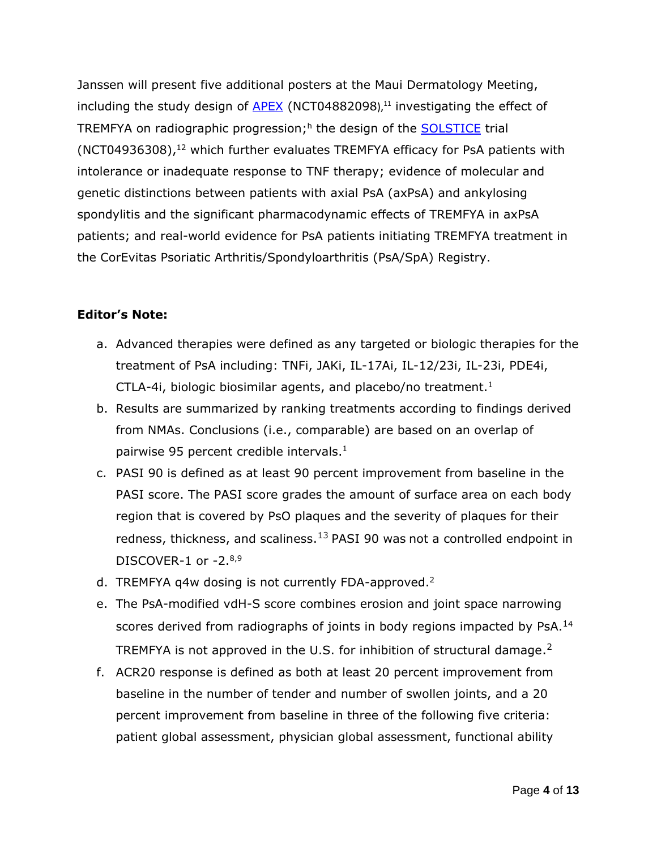Janssen will present five additional posters at the Maui Dermatology Meeting, including the study design of  $APEX$  (NCT04882098),<sup>11</sup> investigating the effect of TREMFYA on radiographic progression;<sup>h</sup> the design of the **SOLSTICE** trial  $(NOT04936308)$ ,<sup>12</sup> which further evaluates TREMFYA efficacy for PsA patients with intolerance or inadequate response to TNF therapy; evidence of molecular and genetic distinctions between patients with axial PsA (axPsA) and ankylosing spondylitis and the significant pharmacodynamic effects of TREMFYA in axPsA patients; and real-world evidence for PsA patients initiating TREMFYA treatment in the CorEvitas Psoriatic Arthritis/Spondyloarthritis (PsA/SpA) Registry.

### **Editor's Note:**

- a. Advanced therapies were defined as any targeted or biologic therapies for the treatment of PsA including: TNFi, JAKi, IL-17Ai, IL-12/23i, IL-23i, PDE4i, CTLA-4i, biologic biosimilar agents, and placebo/no treatment.<sup>1</sup>
- b. Results are summarized by ranking treatments according to findings derived from NMAs. Conclusions (i.e., comparable) are based on an overlap of pairwise 95 percent credible intervals. $<sup>1</sup>$ </sup>
- c. PASI 90 is defined as at least 90 percent improvement from baseline in the PASI score. The PASI score grades the amount of surface area on each body region that is covered by PsO plaques and the severity of plaques for their redness, thickness, and scaliness. $^{13}$  PASI 90 was not a controlled endpoint in DISCOVER-1 or -2.8,9
- d. TREMFYA q4w dosing is not currently FDA-approved.<sup>2</sup>
- e. The PsA-modified vdH-S score combines erosion and joint space narrowing scores derived from radiographs of joints in body regions impacted by PsA.<sup>14</sup> TREMFYA is not approved in the U.S. for inhibition of structural damage.<sup>2</sup>
- f. ACR20 response is defined as both at least 20 percent improvement from baseline in the number of tender and number of swollen joints, and a 20 percent improvement from baseline in three of the following five criteria: patient global assessment, physician global assessment, functional ability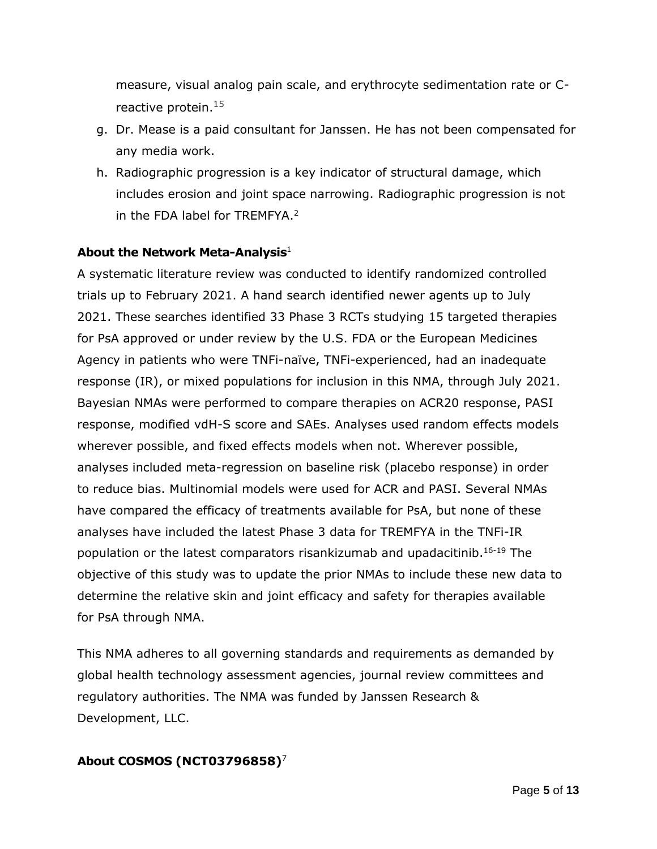measure, visual analog pain scale, and erythrocyte sedimentation rate or Creactive protein. $15$ 

- g. Dr. Mease is a paid consultant for Janssen. He has not been compensated for any media work.
- h. Radiographic progression is a key indicator of structural damage, which includes erosion and joint space narrowing. Radiographic progression is not in the FDA label for TREMFYA. 2

### **About the Network Meta-Analysis**<sup>1</sup>

A systematic literature review was conducted to identify randomized controlled trials up to February 2021. A hand search identified newer agents up to July 2021. These searches identified 33 Phase 3 RCTs studying 15 targeted therapies for PsA approved or under review by the U.S. FDA or the European Medicines Agency in patients who were TNFi-naïve, TNFi-experienced, had an inadequate response (IR), or mixed populations for inclusion in this NMA, through July 2021. Bayesian NMAs were performed to compare therapies on ACR20 response, PASI response, modified vdH-S score and SAEs. Analyses used random effects models wherever possible, and fixed effects models when not. Wherever possible, analyses included meta-regression on baseline risk (placebo response) in order to reduce bias. Multinomial models were used for ACR and PASI. Several NMAs have compared the efficacy of treatments available for PsA, but none of these analyses have included the latest Phase 3 data for TREMFYA in the TNFi-IR population or the latest comparators risankizumab and upadacitinib. 16-19 The objective of this study was to update the prior NMAs to include these new data to determine the relative skin and joint efficacy and safety for therapies available for PsA through NMA.

This NMA adheres to all governing standards and requirements as demanded by global health technology assessment agencies, journal review committees and regulatory authorities. The NMA was funded by Janssen Research & Development, LLC.

### **About COSMOS (NCT03796858)**<sup>7</sup>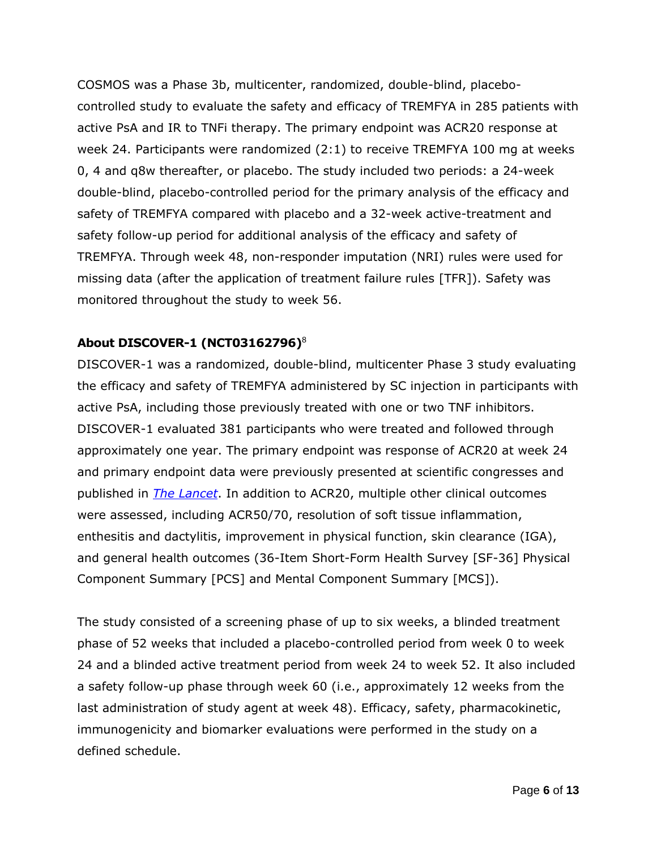COSMOS was a Phase 3b, multicenter, randomized, double-blind, placebocontrolled study to evaluate the safety and efficacy of TREMFYA in 285 patients with active PsA and IR to TNFi therapy. The primary endpoint was ACR20 response at week 24. Participants were randomized (2:1) to receive TREMFYA 100 mg at weeks 0, 4 and q8w thereafter, or placebo. The study included two periods: a 24-week double-blind, placebo-controlled period for the primary analysis of the efficacy and safety of TREMFYA compared with placebo and a 32-week active-treatment and safety follow-up period for additional analysis of the efficacy and safety of TREMFYA. Through week 48, non-responder imputation (NRI) rules were used for missing data (after the application of treatment failure rules [TFR]). Safety was monitored throughout the study to week 56.

### **About DISCOVER-1 (NCT03162796)**<sup>8</sup>

DISCOVER-1 was a randomized, double-blind, multicenter Phase 3 study evaluating the efficacy and safety of TREMFYA administered by SC injection in participants with active PsA, including those previously treated with one or two TNF inhibitors. DISCOVER-1 evaluated 381 participants who were treated and followed through approximately one year. The primary endpoint was response of ACR20 at week 24 and primary endpoint data were previously presented at scientific congresses and published in *[The Lancet](https://www.janssen.com/lancet-simultaneously-publishes-two-phase-3-studies-detailing-comprehensive-efficacy-and-safety)*. In addition to ACR20, multiple other clinical outcomes were assessed, including ACR50/70, resolution of soft tissue inflammation, enthesitis and dactylitis, improvement in physical function, skin clearance (IGA), and general health outcomes (36-Item Short-Form Health Survey [SF-36] Physical Component Summary [PCS] and Mental Component Summary [MCS]).

The study consisted of a screening phase of up to six weeks, a blinded treatment phase of 52 weeks that included a placebo-controlled period from week 0 to week 24 and a blinded active treatment period from week 24 to week 52. It also included a safety follow-up phase through week 60 (i.e., approximately 12 weeks from the last administration of study agent at week 48). Efficacy, safety, pharmacokinetic, immunogenicity and biomarker evaluations were performed in the study on a defined schedule.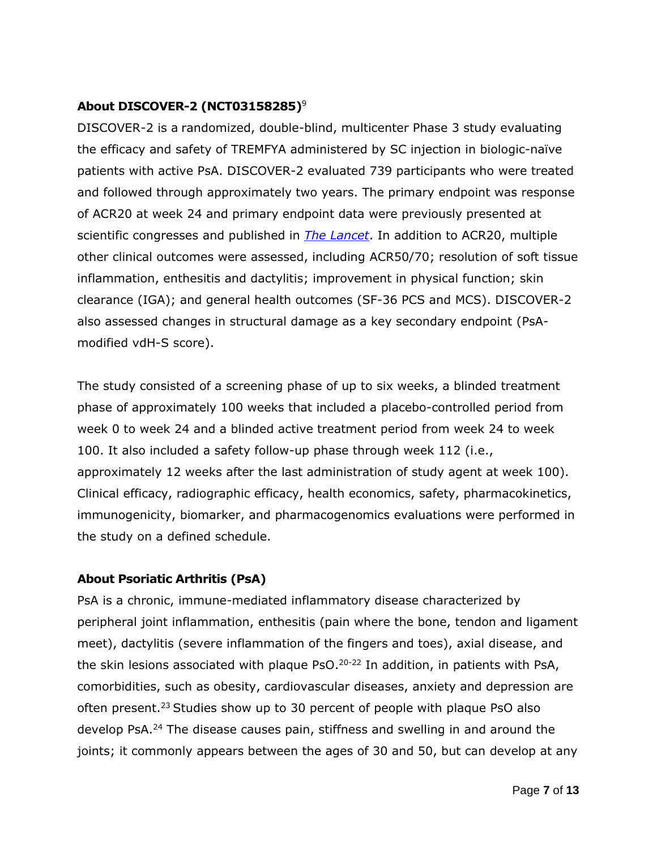### **About DISCOVER-2 (NCT03158285)**<sup>9</sup>

DISCOVER-2 is a randomized, double-blind, multicenter Phase 3 study evaluating the efficacy and safety of TREMFYA administered by SC injection in biologic-naïve patients with active PsA. DISCOVER-2 evaluated 739 participants who were treated and followed through approximately two years. The primary endpoint was response of ACR20 at week 24 and primary endpoint data were previously presented at scientific congresses and published in *[The Lancet](https://www.janssen.com/lancet-simultaneously-publishes-two-phase-3-studies-detailing-comprehensive-efficacy-and-safety)*. In addition to ACR20, multiple other clinical outcomes were assessed, including ACR50/70; resolution of soft tissue inflammation, enthesitis and dactylitis; improvement in physical function; skin clearance (IGA); and general health outcomes (SF-36 PCS and MCS). DISCOVER-2 also assessed changes in structural damage as a key secondary endpoint (PsAmodified vdH-S score).

The study consisted of a screening phase of up to six weeks, a blinded treatment phase of approximately 100 weeks that included a placebo-controlled period from week 0 to week 24 and a blinded active treatment period from week 24 to week 100. It also included a safety follow-up phase through week 112 (i.e., approximately 12 weeks after the last administration of study agent at week 100). Clinical efficacy, radiographic efficacy, health economics, safety, pharmacokinetics, immunogenicity, biomarker, and pharmacogenomics evaluations were performed in the study on a defined schedule.

### **About Psoriatic Arthritis (PsA)**

PsA is a chronic, immune-mediated inflammatory disease characterized by peripheral joint inflammation, enthesitis (pain where the bone, tendon and ligament meet), dactylitis (severe inflammation of the fingers and toes), axial disease, and the skin lesions associated with plaque PsO.<sup>20-22</sup> In addition, in patients with PsA, comorbidities, such as obesity, cardiovascular diseases, anxiety and depression are often present.<sup>23</sup> Studies show up to 30 percent of people with plaque PsO also develop PsA.<sup>24</sup> The disease causes pain, stiffness and swelling in and around the joints; it commonly appears between the ages of 30 and 50, but can develop at any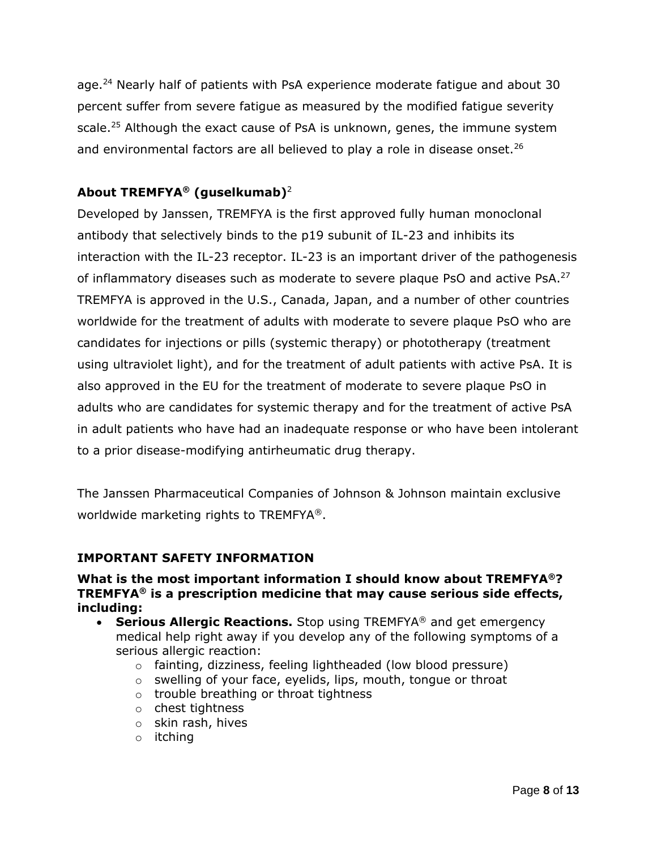age.<sup>24</sup> Nearly half of patients with PsA experience moderate fatigue and about 30 percent suffer from severe fatigue as measured by the modified fatigue severity scale. <sup>25</sup> Although the exact cause of PsA is unknown, genes, the immune system and environmental factors are all believed to play a role in disease onset.<sup>26</sup>

## **About TREMFYA® (guselkumab)**<sup>2</sup>

Developed by Janssen, TREMFYA is the first approved fully human monoclonal antibody that selectively binds to the p19 subunit of IL-23 and inhibits its interaction with the IL-23 receptor. IL-23 is an important driver of the pathogenesis of inflammatory diseases such as moderate to severe plaque PsO and active PsA.<sup>27</sup> TREMFYA is approved in the U.S., Canada, Japan, and a number of other countries worldwide for the treatment of adults with moderate to severe plaque PsO who are candidates for injections or pills (systemic therapy) or phototherapy (treatment using ultraviolet light), and for the treatment of adult patients with active PsA. It is also approved in the EU for the treatment of moderate to severe plaque PsO in adults who are candidates for systemic therapy and for the treatment of active PsA in adult patients who have had an inadequate response or who have been intolerant to a prior disease-modifying antirheumatic drug therapy.

The Janssen Pharmaceutical Companies of Johnson & Johnson maintain exclusive worldwide marketing rights to TREMFYA®.

### **IMPORTANT SAFETY INFORMATION**

### **What is the most important information I should know about TREMFYA®? TREMFYA® is a prescription medicine that may cause serious side effects, including:**

- **Serious Allergic Reactions.** Stop using TREMFYA® and get emergency medical help right away if you develop any of the following symptoms of a serious allergic reaction:
	- o fainting, dizziness, feeling lightheaded (low blood pressure)
	- o swelling of your face, eyelids, lips, mouth, tongue or throat
	- o trouble breathing or throat tightness
	- o chest tightness
	- o skin rash, hives
	- o itching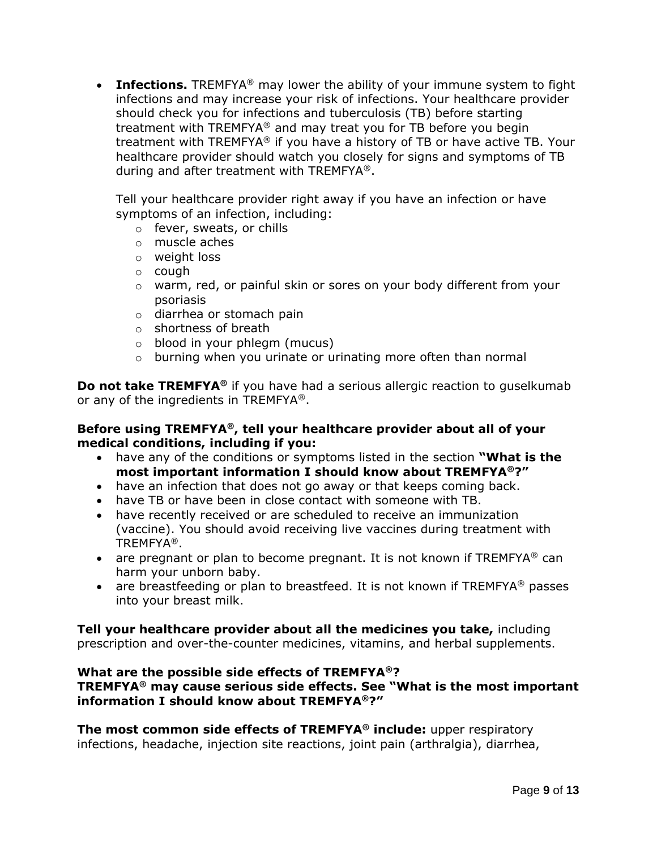• **Infections.** TREMFYA<sup>®</sup> may lower the ability of your immune system to fight infections and may increase your risk of infections. Your healthcare provider should check you for infections and tuberculosis (TB) before starting treatment with TREMFYA® and may treat you for TB before you begin treatment with TREMFYA® if you have a history of TB or have active TB. Your healthcare provider should watch you closely for signs and symptoms of TB during and after treatment with TREMFYA®.

Tell your healthcare provider right away if you have an infection or have symptoms of an infection, including:

- o fever, sweats, or chills
- o muscle aches
- o weight loss
- o cough
- $\circ$  warm, red, or painful skin or sores on your body different from your psoriasis
- o diarrhea or stomach pain
- o shortness of breath
- o blood in your phlegm (mucus)
- $\circ$  burning when you urinate or urinating more often than normal

**Do not take TREMFYA®** if you have had a serious allergic reaction to guselkumab or any of the ingredients in TREMFYA®.

### **Before using TREMFYA®, tell your healthcare provider about all of your medical conditions, including if you:**

- have any of the conditions or symptoms listed in the section **"What is the most important information I should know about TREMFYA®?"**
- have an infection that does not go away or that keeps coming back.
- have TB or have been in close contact with someone with TB.
- have recently received or are scheduled to receive an immunization (vaccine). You should avoid receiving live vaccines during treatment with TREMFYA®.
- are pregnant or plan to become pregnant. It is not known if  $TREMFYA^@$  can harm your unborn baby.
- are breastfeeding or plan to breastfeed. It is not known if TREMFYA<sup>®</sup> passes into your breast milk.

**Tell your healthcare provider about all the medicines you take,** including prescription and over-the-counter medicines, vitamins, and herbal supplements.

### **What are the possible side effects of TREMFYA®?**

**TREMFYA® may cause serious side effects. See "What is the most important information I should know about TREMFYA®?"**

**The most common side effects of TREMFYA® include:** upper respiratory infections, headache, injection site reactions, joint pain (arthralgia), diarrhea,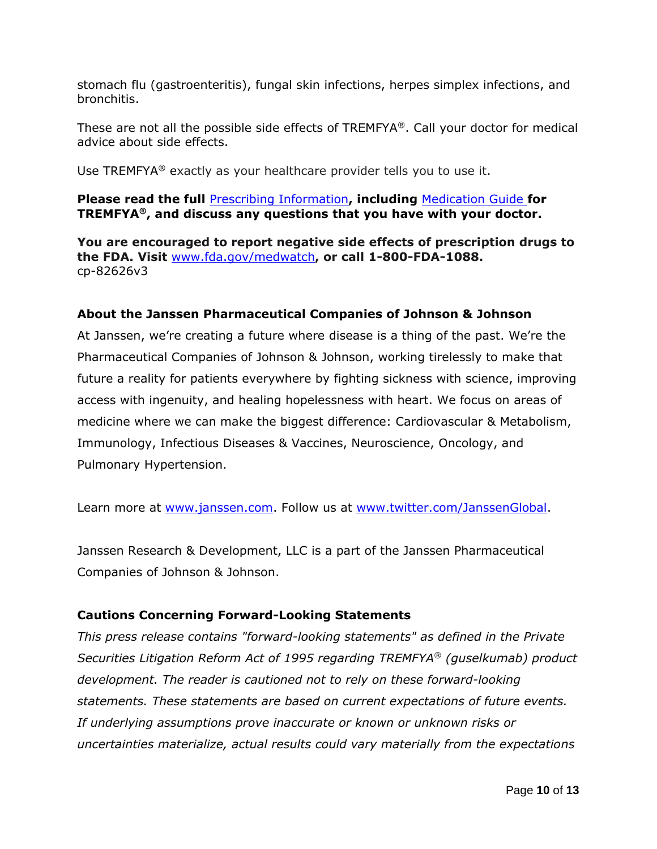stomach flu (gastroenteritis), fungal skin infections, herpes simplex infections, and bronchitis.

These are not all the possible side effects of  $TREMFYA^{\circledast}$ . Call your doctor for medical advice about side effects.

Use TREMFYA® exactly as your healthcare provider tells you to use it.

### **Please read the full** [Prescribing Information](http://www.janssenlabels.com/package-insert/product-monograph/prescribing-information/TREMFYA-pi.pdf)**, including** [Medication Guide](http://www.janssenlabels.com/package-insert/product-patient-information/TREMFYA-medication-guide.pdf) **for TREMFYA®, and discuss any questions that you have with your doctor.**

**You are encouraged to report negative side effects of prescription drugs to the FDA. Visit** [www.fda.gov/medwatch](http://www.fda.gov/medwatch)**, or call 1-800-FDA-1088.** cp-82626v3

### **About the Janssen Pharmaceutical Companies of Johnson & Johnson**

At Janssen, we're creating a future where disease is a thing of the past. We're the Pharmaceutical Companies of Johnson & Johnson, working tirelessly to make that future a reality for patients everywhere by fighting sickness with science, improving access with ingenuity, and healing hopelessness with heart. We focus on areas of medicine where we can make the biggest difference: Cardiovascular & Metabolism, Immunology, Infectious Diseases & Vaccines, Neuroscience, Oncology, and Pulmonary Hypertension.

Learn more at [www.janssen.com.](http://www.janssen.com/) Follow us at [www.twitter.com/JanssenGlobal.](http://www.twitter.com/JanssenGlobal)

Janssen Research & Development, LLC is a part of the Janssen Pharmaceutical Companies of Johnson & Johnson.

### **Cautions Concerning Forward-Looking Statements**

*This press release contains "forward-looking statements" as defined in the Private Securities Litigation Reform Act of 1995 regarding TREMFYA® (guselkumab) product development. The reader is cautioned not to rely on these forward-looking statements. These statements are based on current expectations of future events. If underlying assumptions prove inaccurate or known or unknown risks or uncertainties materialize, actual results could vary materially from the expectations*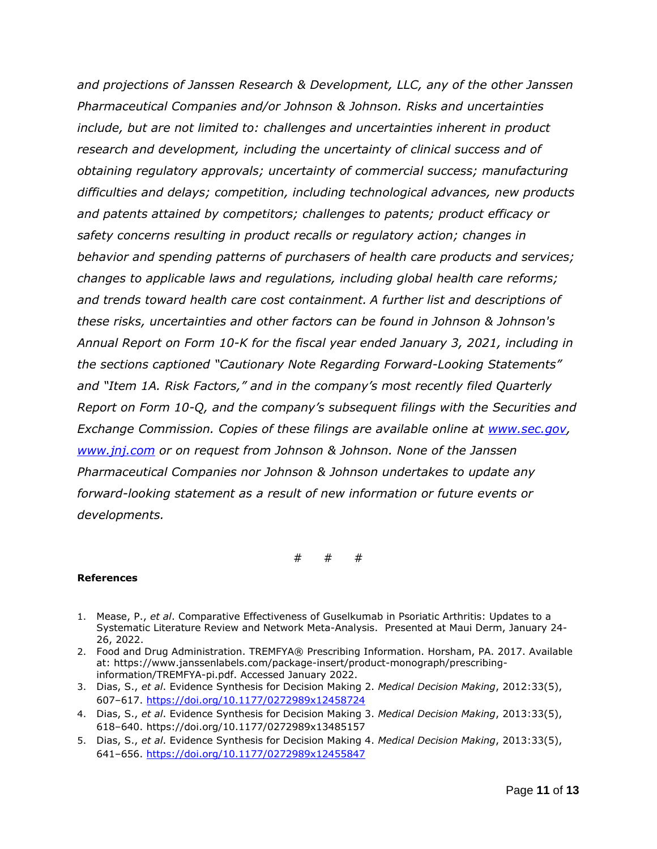*and projections of Janssen Research & Development, LLC, any of the other Janssen Pharmaceutical Companies and/or Johnson & Johnson. Risks and uncertainties include, but are not limited to: challenges and uncertainties inherent in product research and development, including the uncertainty of clinical success and of obtaining regulatory approvals; uncertainty of commercial success; manufacturing difficulties and delays; competition, including technological advances, new products and patents attained by competitors; challenges to patents; product efficacy or safety concerns resulting in product recalls or regulatory action; changes in behavior and spending patterns of purchasers of health care products and services; changes to applicable laws and regulations, including global health care reforms; and trends toward health care cost containment. A further list and descriptions of these risks, uncertainties and other factors can be found in Johnson & Johnson's Annual Report on Form 10-K for the fiscal year ended January 3, 2021, including in the sections captioned "Cautionary Note Regarding Forward-Looking Statements" and "Item 1A. Risk Factors," and in the company's most recently filed Quarterly Report on Form 10-Q, and the company's subsequent filings with the Securities and Exchange Commission. Copies of these filings are available online at [www.sec.gov,](http://www.sec.gov/) [www.jnj.com](http://www.jnj.com/) or on request from Johnson & Johnson. None of the Janssen Pharmaceutical Companies nor Johnson & Johnson undertakes to update any forward-looking statement as a result of new information or future events or developments.*

# # #

#### **References**

- 1. Mease, P., *et al*. Comparative Effectiveness of Guselkumab in Psoriatic Arthritis: Updates to a Systematic Literature Review and Network Meta-Analysis. Presented at Maui Derm, January 24- 26, 2022.
- 2. Food and Drug Administration. TREMFYA® Prescribing Information. Horsham, PA. 2017. Available at: [https://www.janssenlabels.com/package-insert/product-monograph/prescribing](https://www.janssenlabels.com/package-insert/product-monograph/prescribing-information/TREMFYA-pi.pdf)[information/TREMFYA-pi.pdf.](https://www.janssenlabels.com/package-insert/product-monograph/prescribing-information/TREMFYA-pi.pdf) Accessed January 2022.
- 3. Dias, S., *et al*. Evidence Synthesis for Decision Making 2. *Medical Decision Making*, 2012:33(5), 607–617.<https://doi.org/10.1177/0272989x12458724>
- 4. Dias, S., *et al*. Evidence Synthesis for Decision Making 3. *Medical Decision Making*, 2013:33(5), 618–640. https://doi.org/10.1177/0272989x13485157
- 5. Dias, S., *et al*. Evidence Synthesis for Decision Making 4. *Medical Decision Making*, 2013:33(5), 641–656.<https://doi.org/10.1177/0272989x12455847>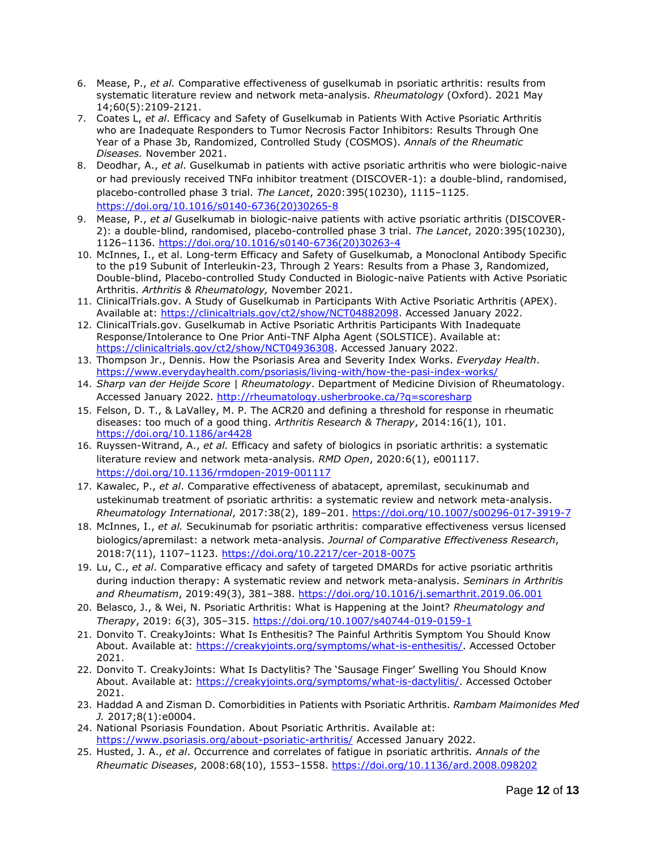- 6. Mease, P., *et al.* Comparative effectiveness of guselkumab in psoriatic arthritis: results from systematic literature review and network meta-analysis. *Rheumatology* (Oxford). 2021 May 14;60(5):2109-2121.
- 7. Coates L, *et al*. Efficacy and Safety of Guselkumab in Patients With Active Psoriatic Arthritis who are Inadequate Responders to Tumor Necrosis Factor Inhibitors: Results Through One Year of a Phase 3b, Randomized, Controlled Study (COSMOS). *Annals of the Rheumatic Diseases.* November 2021.
- 8. Deodhar, A., *et al*. Guselkumab in patients with active psoriatic arthritis who were biologic-naive or had previously received TNFα inhibitor treatment (DISCOVER-1): a double-blind, randomised, placebo-controlled phase 3 trial. *The Lancet*, 2020:395(10230), 1115–1125. [https://doi.org/10.1016/s0140-6736\(20\)30265-8](https://doi.org/10.1016/s0140-6736(20)30265-8)
- 9. Mease, P., *et al* Guselkumab in biologic-naive patients with active psoriatic arthritis (DISCOVER-2): a double-blind, randomised, placebo-controlled phase 3 trial. *The Lancet*, 2020:395(10230), 1126–1136. [https://doi.org/10.1016/s0140-6736\(20\)30263-4](https://doi.org/10.1016/s0140-6736(20)30263-4)
- 10. McInnes, I., et al. Long-term Efficacy and Safety of Guselkumab, a Monoclonal Antibody Specific to the p19 Subunit of Interleukin-23, Through 2 Years: Results from a Phase 3, Randomized, Double-blind, Placebo-controlled Study Conducted in Biologic-naïve Patients with Active Psoriatic Arthritis. *Arthritis & Rheumatology,* November 2021.
- 11. ClinicalTrials.gov. A Study of Guselkumab in Participants With Active Psoriatic Arthritis (APEX). Available at: [https://clinicaltrials.gov/ct2/show/NCT04882098.](https://clinicaltrials.gov/ct2/show/NCT04882098) Accessed January 2022.
- 12. ClinicalTrials.gov. Guselkumab in Active Psoriatic Arthritis Participants With Inadequate Response/Intolerance to One Prior Anti-TNF Alpha Agent (SOLSTICE). Available at: [https://clinicaltrials.gov/ct2/show/NCT04936308.](https://clinicaltrials.gov/ct2/show/NCT04936308) Accessed January 2022.
- 13. Thompson Jr., Dennis. How the Psoriasis Area and Severity Index Works. *Everyday Health*. <https://www.everydayhealth.com/psoriasis/living-with/how-the-pasi-index-works/>
- 14. *Sharp van der Heijde Score | Rheumatology*. Department of Medicine Division of Rheumatology. Accessed January 2022.<http://rheumatology.usherbrooke.ca/?q=scoresharp>
- 15. Felson, D. T., & LaValley, M. P. The ACR20 and defining a threshold for response in rheumatic diseases: too much of a good thing. *Arthritis Research & Therapy*, 2014:16(1), 101. <https://doi.org/10.1186/ar4428>
- 16. Ruyssen-Witrand, A., *et al.* Efficacy and safety of biologics in psoriatic arthritis: a systematic literature review and network meta-analysis. *RMD Open*, 2020:6(1), e001117. <https://doi.org/10.1136/rmdopen-2019-001117>
- 17. Kawalec, P., *et al*. Comparative effectiveness of abatacept, apremilast, secukinumab and ustekinumab treatment of psoriatic arthritis: a systematic review and network meta-analysis. *Rheumatology International*, 2017:38(2), 189–201.<https://doi.org/10.1007/s00296-017-3919-7>
- 18. McInnes, I., *et al.* Secukinumab for psoriatic arthritis: comparative effectiveness versus licensed biologics/apremilast: a network meta-analysis. *Journal of Comparative Effectiveness Research*, 2018:7(11), 1107–1123.<https://doi.org/10.2217/cer-2018-0075>
- 19. Lu, C., *et al*. Comparative efficacy and safety of targeted DMARDs for active psoriatic arthritis during induction therapy: A systematic review and network meta-analysis. *Seminars in Arthritis and Rheumatism*, 2019:49(3), 381–388.<https://doi.org/10.1016/j.semarthrit.2019.06.001>
- 20. Belasco, J., & Wei, N. Psoriatic Arthritis: What is Happening at the Joint? *Rheumatology and Therapy*, 2019: *6*(3), 305–315.<https://doi.org/10.1007/s40744-019-0159-1>
- 21. Donvito T. CreakyJoints: What Is Enthesitis? The Painful Arthritis Symptom You Should Know About. Available at: [https://creakyjoints.org/symptoms/what-is-enthesitis/.](https://creakyjoints.org/symptoms/what-is-enthesitis/) Accessed October 2021.
- 22. Donvito T. CreakyJoints: What Is Dactylitis? The 'Sausage Finger' Swelling You Should Know About. Available at: [https://creakyjoints.org/symptoms/what-is-dactylitis/.](https://creakyjoints.org/symptoms/what-is-dactylitis/) Accessed October 2021.
- 23. Haddad A and Zisman D. Comorbidities in Patients with Psoriatic Arthritis. *Rambam Maimonides Med J.* 2017;8(1):e0004.
- 24. National Psoriasis Foundation. About Psoriatic Arthritis. Available at: <https://www.psoriasis.org/about-psoriatic-arthritis/> Accessed January 2022.
- 25. Husted, J. A., *et al*. Occurrence and correlates of fatigue in psoriatic arthritis. *Annals of the Rheumatic Diseases*, 2008:68(10), 1553–1558.<https://doi.org/10.1136/ard.2008.098202>